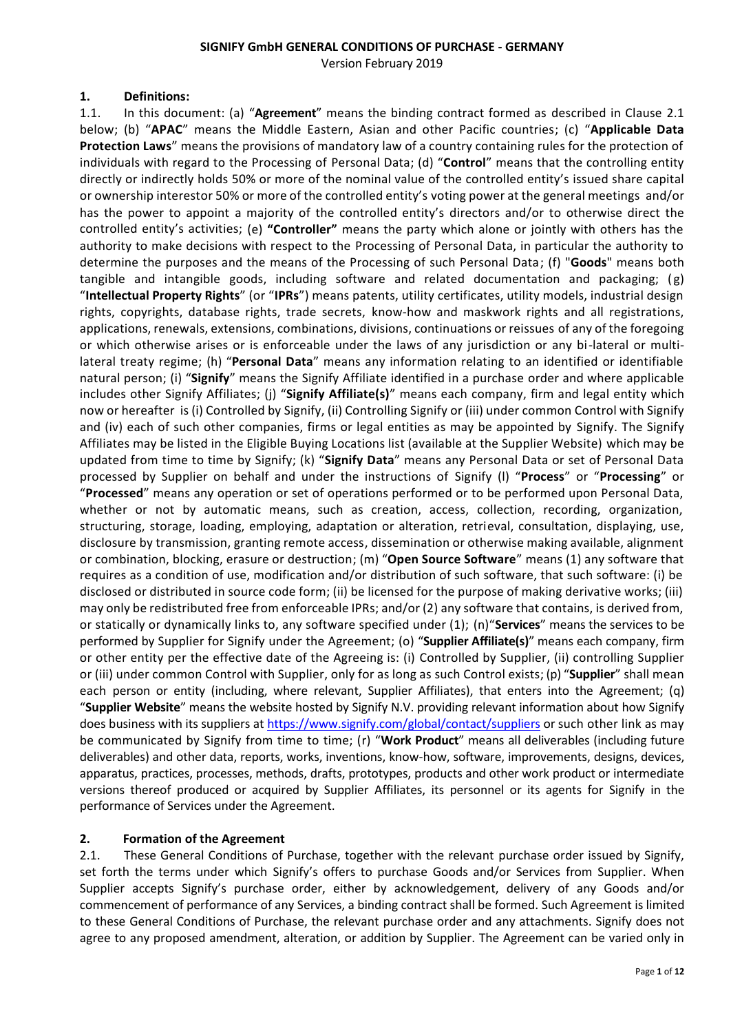#### **SIGNIFY GmbH GENERAL CONDITIONS OF PURCHASE - GERMANY**

Version February 2019

#### **1. Definitions:**

1.1. In this document: (a) "**Agreement**" means the binding contract formed as described in Clause 2.1 below; (b) "**APAC**" means the Middle Eastern, Asian and other Pacific countries; (c) "**Applicable Data Protection Laws**" means the provisions of mandatory law of a country containing rules for the protection of individuals with regard to the Processing of Personal Data; (d) "**Control**" means that the controlling entity directly or indirectly holds 50% or more of the nominal value of the controlled entity's issued share capital or ownership interestor 50% or more of the controlled entity's voting power at the general meetings and/or has the power to appoint a majority of the controlled entity's directors and/or to otherwise direct the controlled entity's activities; (e) **"Controller"** means the party which alone or jointly with others has the authority to make decisions with respect to the Processing of Personal Data, in particular the authority to determine the purposes and the means of the Processing of such Personal Data; (f) "**Goods**" means both tangible and intangible goods, including software and related documentation and packaging;  $(g)$ "**Intellectual Property Rights**" (or "**IPRs**") means patents, utility certificates, utility models, industrial design rights, copyrights, database rights, trade secrets, know-how and maskwork rights and all registrations, applications, renewals, extensions, combinations, divisions, continuations or reissues of any of the foregoing or which otherwise arises or is enforceable under the laws of any jurisdiction or any bi-lateral or multilateral treaty regime; (h) "**Personal Data**" means any information relating to an identified or identifiable natural person; (i) "**Signify**" means the Signify Affiliate identified in a purchase order and where applicable includes other Signify Affiliates; (j) "**Signify Affiliate(s)**" means each company, firm and legal entity which now or hereafter is (i) Controlled by Signify, (ii) Controlling Signify or (iii) under common Control with Signify and (iv) each of such other companies, firms or legal entities as may be appointed by Signify. The Signify Affiliates may be listed in the Eligible Buying Locations list (available at the Supplier Website) which may be updated from time to time by Signify; (k) "**Signify Data**" means any Personal Data or set of Personal Data processed by Supplier on behalf and under the instructions of Signify (l) "**Process**" or "**Processing**" or "**Processed**" means any operation or set of operations performed or to be performed upon Personal Data, whether or not by automatic means, such as creation, access, collection, recording, organization, structuring, storage, loading, employing, adaptation or alteration, retrieval, consultation, displaying, use, disclosure by transmission, granting remote access, dissemination or otherwise making available, alignment or combination, blocking, erasure or destruction; (m) "**Open Source Software**" means (1) any software that requires as a condition of use, modification and/or distribution of such software, that such software: (i) be disclosed or distributed in source code form; (ii) be licensed for the purpose of making derivative works; (iii) may only be redistributed free from enforceable IPRs; and/or (2) any software that contains, is derived from, or statically or dynamically links to, any software specified under (1); (n)"**Services**" means the services to be performed by Supplier for Signify under the Agreement; (o) "**Supplier Affiliate(s)**" means each company, firm or other entity per the effective date of the Agreeing is: (i) Controlled by Supplier, (ii) controlling Supplier or (iii) under common Control with Supplier, only for as long as such Control exists; (p) "**Supplier**" shall mean each person or entity (including, where relevant, Supplier Affiliates), that enters into the Agreement; (q) "**Supplier Website**" means the website hosted by Signify N.V. providing relevant information about how Signify does business with its suppliers at <https://www.signify.com/global/contact/suppliers> or such other link as may be communicated by Signify from time to time; (r) "**Work Product**" means all deliverables (including future deliverables) and other data, reports, works, inventions, know-how, software, improvements, designs, devices, apparatus, practices, processes, methods, drafts, prototypes, products and other work product or intermediate versions thereof produced or acquired by Supplier Affiliates, its personnel or its agents for Signify in the performance of Services under the Agreement.

# **2. Formation of the Agreement**

2.1. These General Conditions of Purchase, together with the relevant purchase order issued by Signify, set forth the terms under which Signify's offers to purchase Goods and/or Services from Supplier. When Supplier accepts Signify's purchase order, either by acknowledgement, delivery of any Goods and/or commencement of performance of any Services, a binding contract shall be formed. Such Agreement is limited to these General Conditions of Purchase, the relevant purchase order and any attachments. Signify does not agree to any proposed amendment, alteration, or addition by Supplier. The Agreement can be varied only in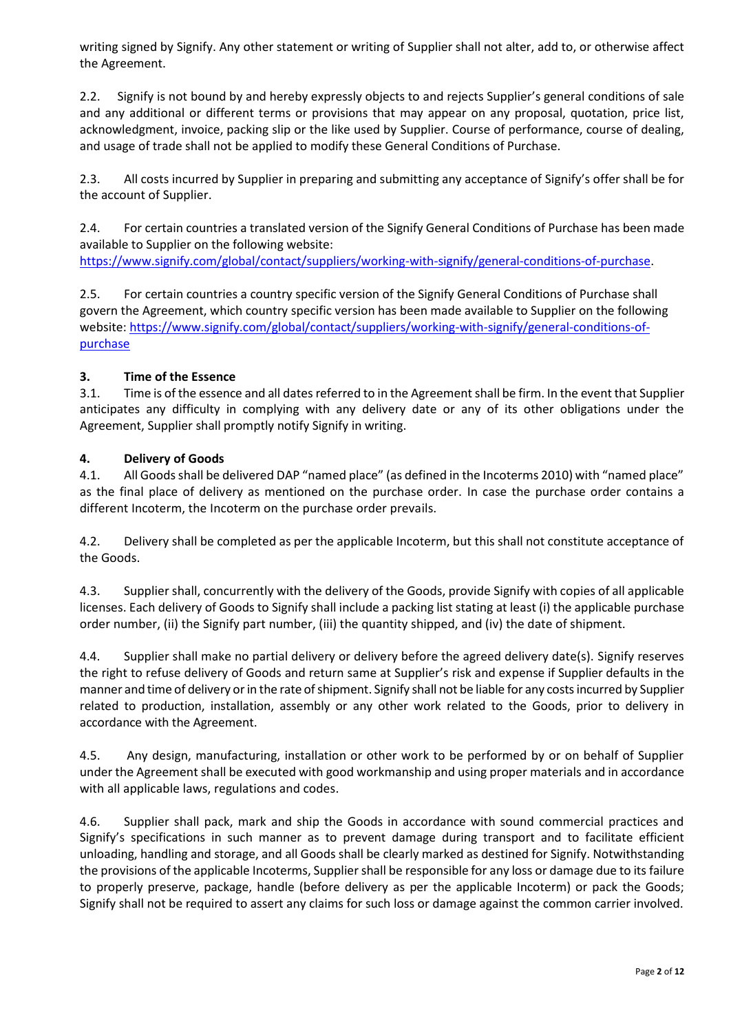writing signed by Signify. Any other statement or writing of Supplier shall not alter, add to, or otherwise affect the Agreement.

2.2. Signify is not bound by and hereby expressly objects to and rejects Supplier's general conditions of sale and any additional or different terms or provisions that may appear on any proposal, quotation, price list, acknowledgment, invoice, packing slip or the like used by Supplier. Course of performance, course of dealing, and usage of trade shall not be applied to modify these General Conditions of Purchase.

2.3. All costs incurred by Supplier in preparing and submitting any acceptance of Signify's offer shall be for the account of Supplier.

2.4. For certain countries a translated version of the Signify General Conditions of Purchase has been made available to Supplier on the following website:

[https://www.signify.com/global/contact/suppliers/working-with-signify/general-conditions-of-purchase.](https://www.signify.com/global/contact/suppliers/working-with-signify/general-conditions-of-purchase)

2.5. For certain countries a country specific version of the Signify General Conditions of Purchase shall govern the Agreement, which country specific version has been made available to Supplier on the following website[: https://www.signify.com/global/contact/suppliers/working-with-signify/general-conditions-of](https://www.signify.com/global/contact/suppliers/working-with-signify/general-conditions-of-purchase)[purchase](https://www.signify.com/global/contact/suppliers/working-with-signify/general-conditions-of-purchase)

# **3. Time of the Essence**

3.1. Time is of the essence and all dates referred to in the Agreement shall be firm. In the event that Supplier anticipates any difficulty in complying with any delivery date or any of its other obligations under the Agreement, Supplier shall promptly notify Signify in writing.

#### **4. Delivery of Goods**

4.1. All Goods shall be delivered DAP "named place" (as defined in the Incoterms 2010) with "named place" as the final place of delivery as mentioned on the purchase order. In case the purchase order contains a different Incoterm, the Incoterm on the purchase order prevails.

4.2. Delivery shall be completed as per the applicable Incoterm, but this shall not constitute acceptance of the Goods.

4.3. Supplier shall, concurrently with the delivery of the Goods, provide Signify with copies of all applicable licenses. Each delivery of Goods to Signify shall include a packing list stating at least (i) the applicable purchase order number, (ii) the Signify part number, (iii) the quantity shipped, and (iv) the date of shipment.

4.4. Supplier shall make no partial delivery or delivery before the agreed delivery date(s). Signify reserves the right to refuse delivery of Goods and return same at Supplier's risk and expense if Supplier defaults in the manner and time of delivery or in the rate of shipment. Signify shall not be liable for any costs incurred by Supplier related to production, installation, assembly or any other work related to the Goods, prior to delivery in accordance with the Agreement.

4.5. Any design, manufacturing, installation or other work to be performed by or on behalf of Supplier under the Agreement shall be executed with good workmanship and using proper materials and in accordance with all applicable laws, regulations and codes.

4.6. Supplier shall pack, mark and ship the Goods in accordance with sound commercial practices and Signify's specifications in such manner as to prevent damage during transport and to facilitate efficient unloading, handling and storage, and all Goods shall be clearly marked as destined for Signify. Notwithstanding the provisions of the applicable Incoterms, Supplier shall be responsible for any loss or damage due to its failure to properly preserve, package, handle (before delivery as per the applicable Incoterm) or pack the Goods; Signify shall not be required to assert any claims for such loss or damage against the common carrier involved.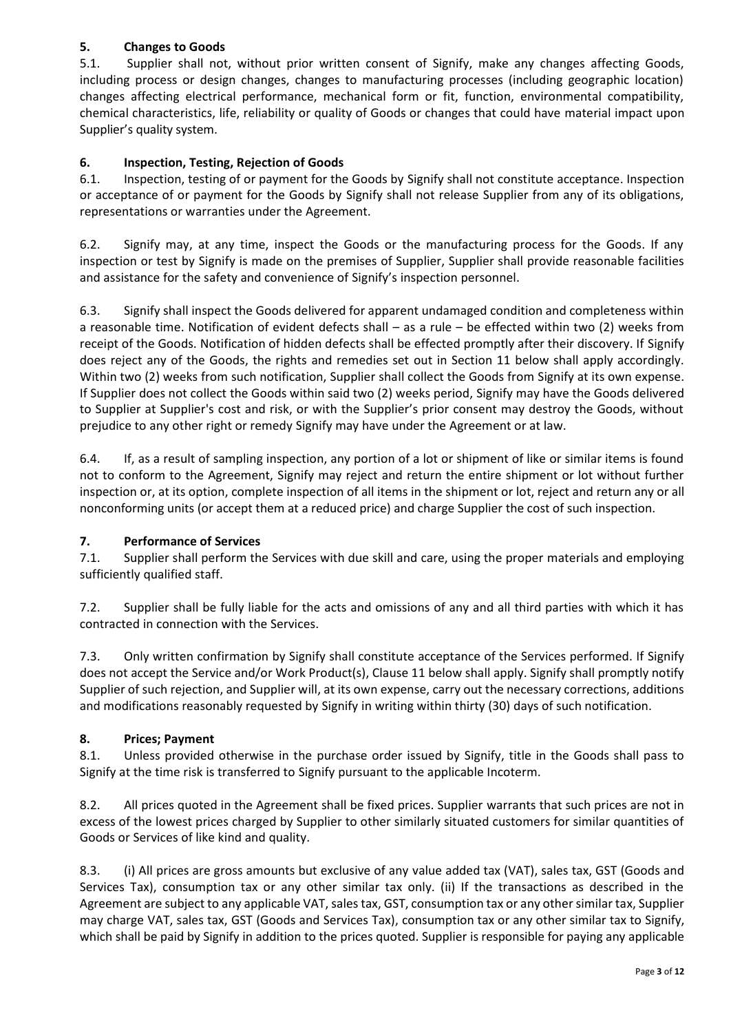# **5. Changes to Goods**

5.1. Supplier shall not, without prior written consent of Signify, make any changes affecting Goods, including process or design changes, changes to manufacturing processes (including geographic location) changes affecting electrical performance, mechanical form or fit, function, environmental compatibility, chemical characteristics, life, reliability or quality of Goods or changes that could have material impact upon Supplier's quality system.

# **6. Inspection, Testing, Rejection of Goods**

6.1. Inspection, testing of or payment for the Goods by Signify shall not constitute acceptance. Inspection or acceptance of or payment for the Goods by Signify shall not release Supplier from any of its obligations, representations or warranties under the Agreement.

6.2. Signify may, at any time, inspect the Goods or the manufacturing process for the Goods. If any inspection or test by Signify is made on the premises of Supplier, Supplier shall provide reasonable facilities and assistance for the safety and convenience of Signify's inspection personnel.

6.3. Signify shall inspect the Goods delivered for apparent undamaged condition and completeness within a reasonable time. Notification of evident defects shall – as a rule – be effected within two (2) weeks from receipt of the Goods. Notification of hidden defects shall be effected promptly after their discovery. If Signify does reject any of the Goods, the rights and remedies set out in Section 11 below shall apply accordingly. Within two (2) weeks from such notification, Supplier shall collect the Goods from Signify at its own expense. If Supplier does not collect the Goods within said two (2) weeks period, Signify may have the Goods delivered to Supplier at Supplier's cost and risk, or with the Supplier's prior consent may destroy the Goods, without prejudice to any other right or remedy Signify may have under the Agreement or at law.

6.4. If, as a result of sampling inspection, any portion of a lot or shipment of like or similar items is found not to conform to the Agreement, Signify may reject and return the entire shipment or lot without further inspection or, at its option, complete inspection of all items in the shipment or lot, reject and return any or all nonconforming units (or accept them at a reduced price) and charge Supplier the cost of such inspection.

# **7. Performance of Services**

7.1. Supplier shall perform the Services with due skill and care, using the proper materials and employing sufficiently qualified staff.

7.2. Supplier shall be fully liable for the acts and omissions of any and all third parties with which it has contracted in connection with the Services.

7.3. Only written confirmation by Signify shall constitute acceptance of the Services performed. If Signify does not accept the Service and/or Work Product(s), Clause 11 below shall apply. Signify shall promptly notify Supplier of such rejection, and Supplier will, at its own expense, carry out the necessary corrections, additions and modifications reasonably requested by Signify in writing within thirty (30) days of such notification.

# **8. Prices; Payment**

8.1. Unless provided otherwise in the purchase order issued by Signify, title in the Goods shall pass to Signify at the time risk is transferred to Signify pursuant to the applicable Incoterm.

8.2. All prices quoted in the Agreement shall be fixed prices. Supplier warrants that such prices are not in excess of the lowest prices charged by Supplier to other similarly situated customers for similar quantities of Goods or Services of like kind and quality.

8.3. (i) All prices are gross amounts but exclusive of any value added tax (VAT), sales tax, GST (Goods and Services Tax), consumption tax or any other similar tax only. (ii) If the transactions as described in the Agreement are subject to any applicable VAT, sales tax, GST, consumption tax or any other similar tax, Supplier may charge VAT, sales tax, GST (Goods and Services Tax), consumption tax or any other similar tax to Signify, which shall be paid by Signify in addition to the prices quoted. Supplier is responsible for paying any applicable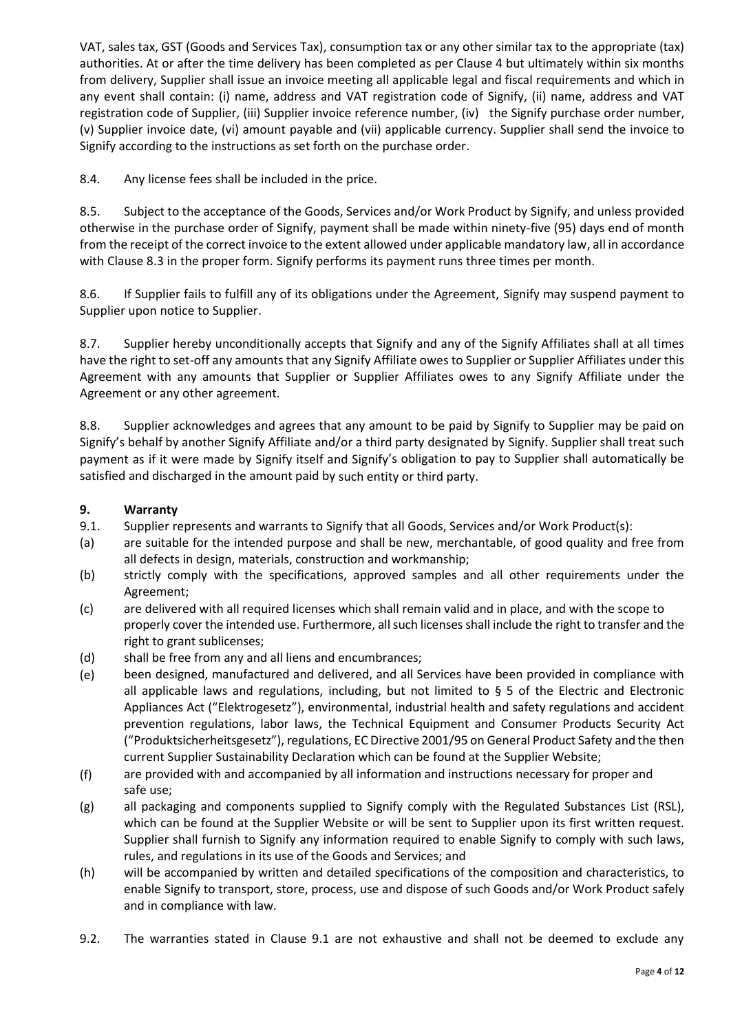VAT, sales tax, GST (Goods and Services Tax), consumption tax or any other similar tax to the appropriate (tax) authorities. At or after the time delivery has been completed as per Clause 4 but ultimately within six months from delivery, Supplier shall issue an invoice meeting all applicable legal and fiscal requirements and which in any event shall contain: (i) name, address and VAT registration code of Signify, (ii) name, address and VAT registration code of Supplier, (iii) Supplier invoice reference number, (iv) the Signify purchase order number, (v) Supplier invoice date, (vi) amount payable and (vii) applicable currency. Supplier shall send the invoice to Signify according to the instructions as set forth on the purchase order.

8.4. Any license fees shall be included in the price.

8.5. Subject to the acceptance of the Goods, Services and/or Work Product by Signify, and unless provided otherwise in the purchase order of Signify, payment shall be made within ninety-five (95) days end of month from the receipt of the correct invoice to the extent allowed under applicable mandatory law, all in accordance with Clause 8.3 in the proper form. Signify performs its payment runs three times per month.

8.6. If Supplier fails to fulfill any of its obligations under the Agreement, Signify may suspend payment to Supplier upon notice to Supplier.

8.7. Supplier hereby unconditionally accepts that Signify and any of the Signify Affiliates shall at all times have the right to set-off any amounts that any Signify Affiliate owes to Supplier or Supplier Affiliates under this Agreement with any amounts that Supplier or Supplier Affiliates owes to any Signify Affiliate under the Agreement or any other agreement.

8.8. Supplier acknowledges and agrees that any amount to be paid by Signify to Supplier may be paid on Signify's behalf by another Signify Affiliate and/or a third party designated by Signify. Supplier shall treat such payment as if it were made by Signify itself and Signify's obligation to pay to Supplier shall automatically be satisfied and discharged in the amount paid by such entity or third party.

# **9. Warranty**

- 9.1. Supplier represents and warrants to Signify that all Goods, Services and/or Work Product(s):
- (a) are suitable for the intended purpose and shall be new, merchantable, of good quality and free from all defects in design, materials, construction and workmanship;
- (b) strictly comply with the specifications, approved samples and all other requirements under the Agreement;
- (c) are delivered with all required licenses which shall remain valid and in place, and with the scope to properly cover the intended use. Furthermore, all such licenses shall include the right to transfer and the right to grant sublicenses;
- (d) shall be free from any and all liens and encumbrances;
- (e) been designed, manufactured and delivered, and all Services have been provided in compliance with all applicable laws and regulations, including, but not limited to § 5 of the Electric and Electronic Appliances Act ("Elektrogesetz"), environmental, industrial health and safety regulations and accident prevention regulations, labor laws, the Technical Equipment and Consumer Products Security Act ("Produktsicherheitsgesetz"), regulations, EC Directive 2001/95 on General Product Safety and the then current Supplier Sustainability Declaration which can be found at the Supplier Website;
- (f) are provided with and accompanied by all information and instructions necessary for proper and safe use;
- (g) all packaging and components supplied to Signify comply with the Regulated Substances List (RSL), which can be found at the Supplier Website or will be sent to Supplier upon its first written request. Supplier shall furnish to Signify any information required to enable Signify to comply with such laws, rules, and regulations in its use of the Goods and Services; and
- (h) will be accompanied by written and detailed specifications of the composition and characteristics, to enable Signify to transport, store, process, use and dispose of such Goods and/or Work Product safely and in compliance with law.
- 9.2. The warranties stated in Clause 9.1 are not exhaustive and shall not be deemed to exclude any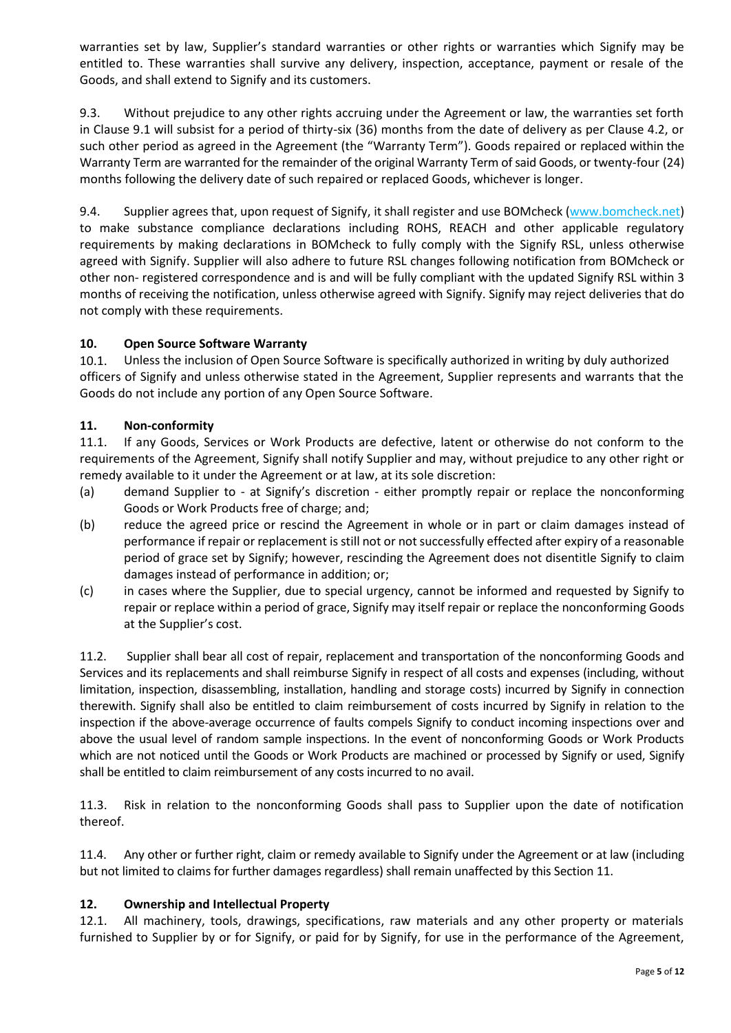warranties set by law, Supplier's standard warranties or other rights or warranties which Signify may be entitled to. These warranties shall survive any delivery, inspection, acceptance, payment or resale of the Goods, and shall extend to Signify and its customers.

9.3. Without prejudice to any other rights accruing under the Agreement or law, the warranties set forth in Clause 9.1 will subsist for a period of thirty-six (36) months from the date of delivery as per Clause 4.2, or such other period as agreed in the Agreement (the "Warranty Term"). Goods repaired or replaced within the Warranty Term are warranted for the remainder of the original Warranty Term of said Goods, or twenty-four (24) months following the delivery date of such repaired or replaced Goods, whichever is longer.

9.4. Supplier agrees that, upon request of Signify, it shall register and use BOMcheck [\(www.bomcheck.net\)](file:///C:/Users/310029095/AppData/Local/Microsoft/Windows/Temporary%20Internet%20Files/Content.Outlook/VGEK5KH3/www.bomcheck.net) to make substance compliance declarations including ROHS, REACH and other applicable regulatory requirements by making declarations in BOMcheck to fully comply with the Signify RSL, unless otherwise agreed with Signify. Supplier will also adhere to future RSL changes following notification from BOMcheck or other non- registered correspondence and is and will be fully compliant with the updated Signify RSL within 3 months of receiving the notification, unless otherwise agreed with Signify. Signify may reject deliveries that do not comply with these requirements.

# **10. Open Source Software Warranty**

10.1. Unless the inclusion of Open Source Software is specifically authorized in writing by duly authorized officers of Signify and unless otherwise stated in the Agreement, Supplier represents and warrants that the Goods do not include any portion of any Open Source Software.

#### **11. Non-conformity**

11.1. If any Goods, Services or Work Products are defective, latent or otherwise do not conform to the requirements of the Agreement, Signify shall notify Supplier and may, without prejudice to any other right or remedy available to it under the Agreement or at law, at its sole discretion:

- (a) demand Supplier to at Signify's discretion either promptly repair or replace the nonconforming Goods or Work Products free of charge; and;
- (b) reduce the agreed price or rescind the Agreement in whole or in part or claim damages instead of performance if repair or replacement is still not or not successfully effected after expiry of a reasonable period of grace set by Signify; however, rescinding the Agreement does not disentitle Signify to claim damages instead of performance in addition; or;
- (c) in cases where the Supplier, due to special urgency, cannot be informed and requested by Signify to repair or replace within a period of grace, Signify may itself repair or replace the nonconforming Goods at the Supplier's cost.

11.2. Supplier shall bear all cost of repair, replacement and transportation of the nonconforming Goods and Services and its replacements and shall reimburse Signify in respect of all costs and expenses (including, without limitation, inspection, disassembling, installation, handling and storage costs) incurred by Signify in connection therewith. Signify shall also be entitled to claim reimbursement of costs incurred by Signify in relation to the inspection if the above-average occurrence of faults compels Signify to conduct incoming inspections over and above the usual level of random sample inspections. In the event of nonconforming Goods or Work Products which are not noticed until the Goods or Work Products are machined or processed by Signify or used, Signify shall be entitled to claim reimbursement of any costs incurred to no avail.

11.3. Risk in relation to the nonconforming Goods shall pass to Supplier upon the date of notification thereof.

11.4. Any other or further right, claim or remedy available to Signify under the Agreement or at law (including but not limited to claims for further damages regardless) shall remain unaffected by this Section 11.

#### **12. Ownership and Intellectual Property**

12.1. All machinery, tools, drawings, specifications, raw materials and any other property or materials furnished to Supplier by or for Signify, or paid for by Signify, for use in the performance of the Agreement,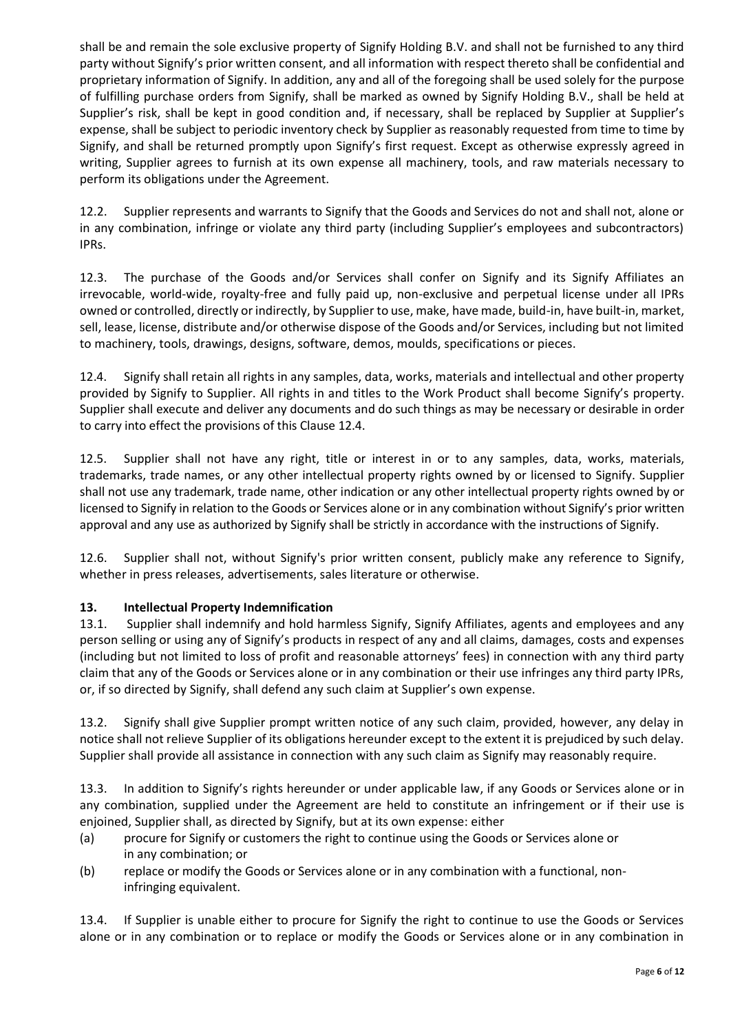shall be and remain the sole exclusive property of Signify Holding B.V. and shall not be furnished to any third party without Signify's prior written consent, and all information with respect thereto shall be confidential and proprietary information of Signify. In addition, any and all of the foregoing shall be used solely for the purpose of fulfilling purchase orders from Signify, shall be marked as owned by Signify Holding B.V., shall be held at Supplier's risk, shall be kept in good condition and, if necessary, shall be replaced by Supplier at Supplier's expense, shall be subject to periodic inventory check by Supplier as reasonably requested from time to time by Signify, and shall be returned promptly upon Signify's first request. Except as otherwise expressly agreed in writing, Supplier agrees to furnish at its own expense all machinery, tools, and raw materials necessary to perform its obligations under the Agreement.

12.2. Supplier represents and warrants to Signify that the Goods and Services do not and shall not, alone or in any combination, infringe or violate any third party (including Supplier's employees and subcontractors) IPRs.

12.3. The purchase of the Goods and/or Services shall confer on Signify and its Signify Affiliates an irrevocable, world-wide, royalty-free and fully paid up, non-exclusive and perpetual license under all IPRs owned or controlled, directly or indirectly, by Supplier to use, make, have made, build-in, have built-in, market, sell, lease, license, distribute and/or otherwise dispose of the Goods and/or Services, including but not limited to machinery, tools, drawings, designs, software, demos, moulds, specifications or pieces.

12.4. Signify shall retain all rights in any samples, data, works, materials and intellectual and other property provided by Signify to Supplier. All rights in and titles to the Work Product shall become Signify's property. Supplier shall execute and deliver any documents and do such things as may be necessary or desirable in order to carry into effect the provisions of this Clause 12.4.

12.5. Supplier shall not have any right, title or interest in or to any samples, data, works, materials, trademarks, trade names, or any other intellectual property rights owned by or licensed to Signify. Supplier shall not use any trademark, trade name, other indication or any other intellectual property rights owned by or licensed to Signify in relation to the Goods or Services alone or in any combination without Signify's prior written approval and any use as authorized by Signify shall be strictly in accordance with the instructions of Signify.

12.6. Supplier shall not, without Signify's prior written consent, publicly make any reference to Signify, whether in press releases, advertisements, sales literature or otherwise.

# **13. Intellectual Property Indemnification**

13.1. Supplier shall indemnify and hold harmless Signify, Signify Affiliates, agents and employees and any person selling or using any of Signify's products in respect of any and all claims, damages, costs and expenses (including but not limited to loss of profit and reasonable attorneys' fees) in connection with any third party claim that any of the Goods or Services alone or in any combination or their use infringes any third party IPRs, or, if so directed by Signify, shall defend any such claim at Supplier's own expense.

13.2. Signify shall give Supplier prompt written notice of any such claim, provided, however, any delay in notice shall not relieve Supplier of its obligations hereunder except to the extent it is prejudiced by such delay. Supplier shall provide all assistance in connection with any such claim as Signify may reasonably require.

13.3. In addition to Signify's rights hereunder or under applicable law, if any Goods or Services alone or in any combination, supplied under the Agreement are held to constitute an infringement or if their use is enjoined, Supplier shall, as directed by Signify, but at its own expense: either

- (a) procure for Signify or customers the right to continue using the Goods or Services alone or in any combination; or
- (b) replace or modify the Goods or Services alone or in any combination with a functional, noninfringing equivalent.

13.4. If Supplier is unable either to procure for Signify the right to continue to use the Goods or Services alone or in any combination or to replace or modify the Goods or Services alone or in any combination in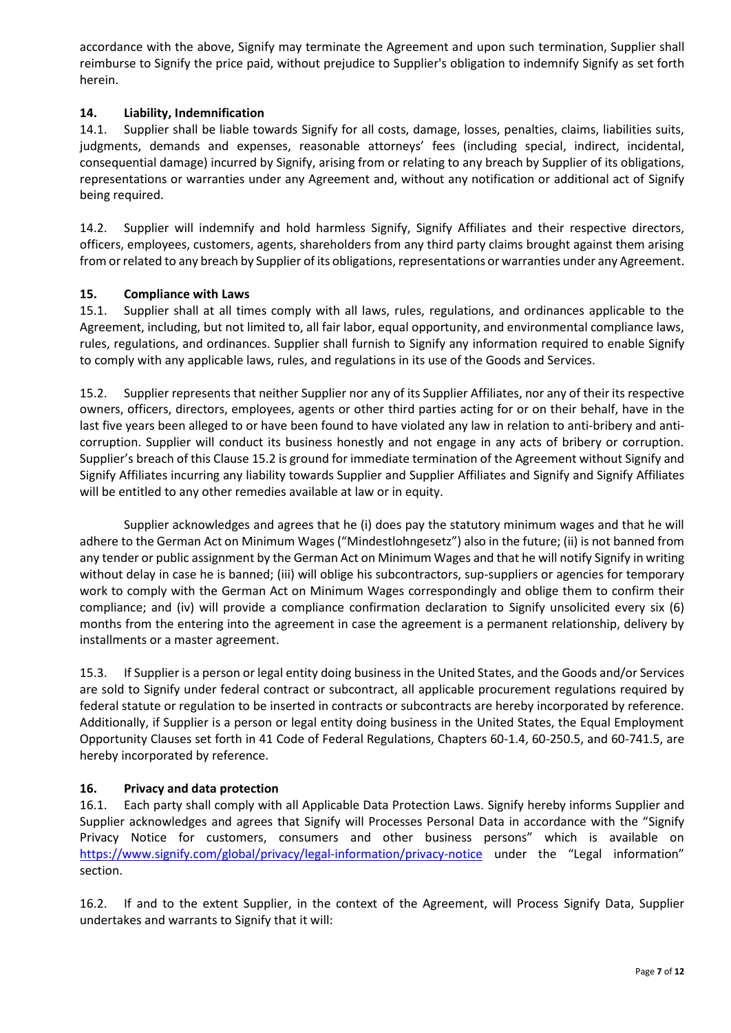accordance with the above, Signify may terminate the Agreement and upon such termination, Supplier shall reimburse to Signify the price paid, without prejudice to Supplier's obligation to indemnify Signify as set forth herein.

#### **14. Liability, Indemnification**

14.1. Supplier shall be liable towards Signify for all costs, damage, losses, penalties, claims, liabilities suits, judgments, demands and expenses, reasonable attorneys' fees (including special, indirect, incidental, consequential damage) incurred by Signify, arising from or relating to any breach by Supplier of its obligations, representations or warranties under any Agreement and, without any notification or additional act of Signify being required.

14.2. Supplier will indemnify and hold harmless Signify, Signify Affiliates and their respective directors, officers, employees, customers, agents, shareholders from any third party claims brought against them arising from or related to any breach by Supplier of its obligations, representations or warranties under any Agreement.

#### **15. Compliance with Laws**

15.1. Supplier shall at all times comply with all laws, rules, regulations, and ordinances applicable to the Agreement, including, but not limited to, all fair labor, equal opportunity, and environmental compliance laws, rules, regulations, and ordinances. Supplier shall furnish to Signify any information required to enable Signify to comply with any applicable laws, rules, and regulations in its use of the Goods and Services.

15.2. Supplier represents that neither Supplier nor any of its Supplier Affiliates, nor any of their its respective owners, officers, directors, employees, agents or other third parties acting for or on their behalf, have in the last five years been alleged to or have been found to have violated any law in relation to anti-bribery and anticorruption. Supplier will conduct its business honestly and not engage in any acts of bribery or corruption. Supplier's breach of this Clause 15.2 is ground for immediate termination of the Agreement without Signify and Signify Affiliates incurring any liability towards Supplier and Supplier Affiliates and Signify and Signify Affiliates will be entitled to any other remedies available at law or in equity.

Supplier acknowledges and agrees that he (i) does pay the statutory minimum wages and that he will adhere to the German Act on Minimum Wages ("Mindestlohngesetz") also in the future; (ii) is not banned from any tender or public assignment by the German Act on Minimum Wages and that he will notify Signify in writing without delay in case he is banned; (iii) will oblige his subcontractors, sup-suppliers or agencies for temporary work to comply with the German Act on Minimum Wages correspondingly and oblige them to confirm their compliance; and (iv) will provide a compliance confirmation declaration to Signify unsolicited every six (6) months from the entering into the agreement in case the agreement is a permanent relationship, delivery by installments or a master agreement.

15.3. If Supplier is a person or legal entity doing business in the United States, and the Goods and/or Services are sold to Signify under federal contract or subcontract, all applicable procurement regulations required by federal statute or regulation to be inserted in contracts or subcontracts are hereby incorporated by reference. Additionally, if Supplier is a person or legal entity doing business in the United States, the Equal Employment Opportunity Clauses set forth in 41 Code of Federal Regulations, Chapters 60-1.4, 60-250.5, and 60-741.5, are hereby incorporated by reference.

# **16. Privacy and data protection**

16.1. Each party shall comply with all Applicable Data Protection Laws. Signify hereby informs Supplier and Supplier acknowledges and agrees that Signify will Processes Personal Data in accordance with the "Signify Privacy Notice for customers, consumers and other business persons" which is available on <https://www.signify.com/global/privacy/legal-information/privacy-notice> under the "Legal information" section.

16.2. If and to the extent Supplier, in the context of the Agreement, will Process Signify Data, Supplier undertakes and warrants to Signify that it will: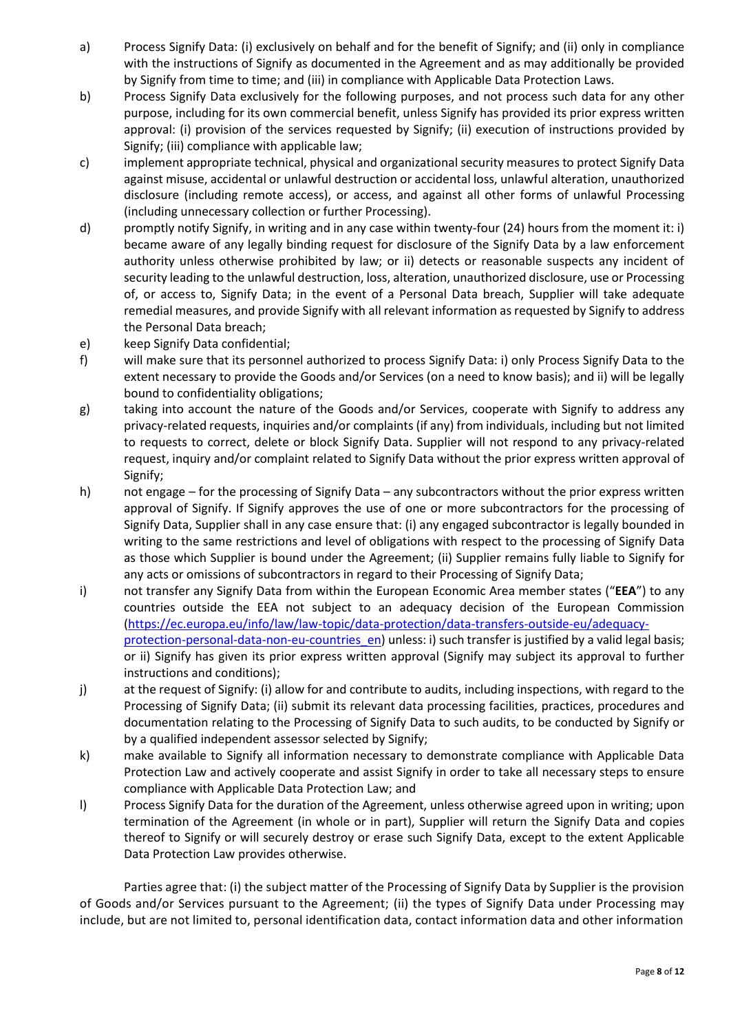- a) Process Signify Data: (i) exclusively on behalf and for the benefit of Signify; and (ii) only in compliance with the instructions of Signify as documented in the Agreement and as may additionally be provided by Signify from time to time; and (iii) in compliance with Applicable Data Protection Laws.
- b) Process Signify Data exclusively for the following purposes, and not process such data for any other purpose, including for its own commercial benefit, unless Signify has provided its prior express written approval: (i) provision of the services requested by Signify; (ii) execution of instructions provided by Signify; (iii) compliance with applicable law;
- c) implement appropriate technical, physical and organizational security measures to protect Signify Data against misuse, accidental or unlawful destruction or accidental loss, unlawful alteration, unauthorized disclosure (including remote access), or access, and against all other forms of unlawful Processing (including unnecessary collection or further Processing).
- d) promptly notify Signify, in writing and in any case within twenty-four (24) hours from the moment it: i) became aware of any legally binding request for disclosure of the Signify Data by a law enforcement authority unless otherwise prohibited by law; or ii) detects or reasonable suspects any incident of security leading to the unlawful destruction, loss, alteration, unauthorized disclosure, use or Processing of, or access to, Signify Data; in the event of a Personal Data breach, Supplier will take adequate remedial measures, and provide Signify with all relevant information as requested by Signify to address the Personal Data breach;
- e) keep Signify Data confidential;
- f) will make sure that its personnel authorized to process Signify Data: i) only Process Signify Data to the extent necessary to provide the Goods and/or Services (on a need to know basis); and ii) will be legally bound to confidentiality obligations;
- g) taking into account the nature of the Goods and/or Services, cooperate with Signify to address any privacy-related requests, inquiries and/or complaints (if any) from individuals, including but not limited to requests to correct, delete or block Signify Data. Supplier will not respond to any privacy-related request, inquiry and/or complaint related to Signify Data without the prior express written approval of Signify;
- h) not engage for the processing of Signify Data any subcontractors without the prior express written approval of Signify. If Signify approves the use of one or more subcontractors for the processing of Signify Data, Supplier shall in any case ensure that: (i) any engaged subcontractor is legally bounded in writing to the same restrictions and level of obligations with respect to the processing of Signify Data as those which Supplier is bound under the Agreement; (ii) Supplier remains fully liable to Signify for any acts or omissions of subcontractors in regard to their Processing of Signify Data;
- i) not transfer any Signify Data from within the European Economic Area member states ("**EEA**") to any countries outside the EEA not subject to an adequacy decision of the European Commission [\(https://ec.europa.eu/info/law/law-topic/data-protection/data-transfers-outside-eu/adequacy](https://ec.europa.eu/info/law/law-topic/data-protection/data-transfers-outside-eu/adequacy-protection-personal-data-non-eu-countries_en)[protection-personal-data-non-eu-countries\\_en\)](https://ec.europa.eu/info/law/law-topic/data-protection/data-transfers-outside-eu/adequacy-protection-personal-data-non-eu-countries_en) unless: i) such transfer is justified by a valid legal basis; or ii) Signify has given its prior express written approval (Signify may subject its approval to further instructions and conditions);
- j) at the request of Signify: (i) allow for and contribute to audits, including inspections, with regard to the Processing of Signify Data; (ii) submit its relevant data processing facilities, practices, procedures and documentation relating to the Processing of Signify Data to such audits, to be conducted by Signify or by a qualified independent assessor selected by Signify;
- k) make available to Signify all information necessary to demonstrate compliance with Applicable Data Protection Law and actively cooperate and assist Signify in order to take all necessary steps to ensure compliance with Applicable Data Protection Law; and
- l) Process Signify Data for the duration of the Agreement, unless otherwise agreed upon in writing; upon termination of the Agreement (in whole or in part), Supplier will return the Signify Data and copies thereof to Signify or will securely destroy or erase such Signify Data, except to the extent Applicable Data Protection Law provides otherwise.

Parties agree that: (i) the subject matter of the Processing of Signify Data by Supplier is the provision of Goods and/or Services pursuant to the Agreement; (ii) the types of Signify Data under Processing may include, but are not limited to, personal identification data, contact information data and other information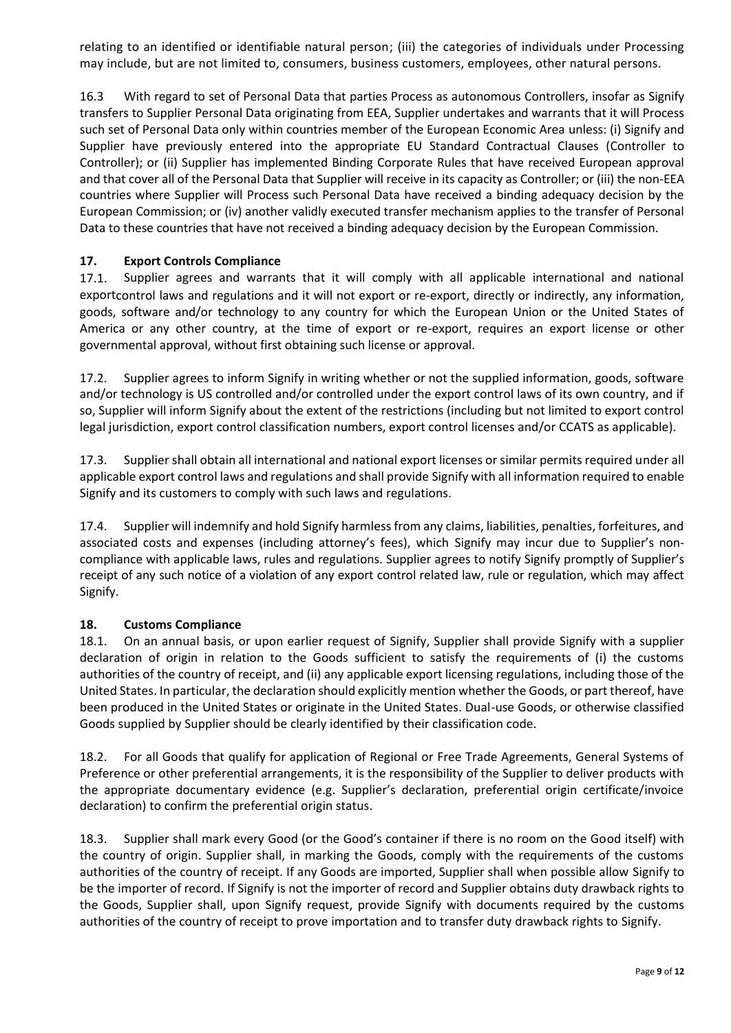relating to an identified or identifiable natural person; (iii) the categories of individuals under Processing may include, but are not limited to, consumers, business customers, employees, other natural persons.

16.3 With regard to set of Personal Data that parties Process as autonomous Controllers, insofar as Signify transfers to Supplier Personal Data originating from EEA, Supplier undertakes and warrants that it will Process such set of Personal Data only within countries member of the European Economic Area unless: (i) Signify and Supplier have previously entered into the appropriate EU Standard Contractual Clauses (Controller to Controller); or (ii) Supplier has implemented Binding Corporate Rules that have received European approval and that cover all of the Personal Data that Supplier will receive in its capacity as Controller; or (iii) the non-EEA countries where Supplier will Process such Personal Data have received a binding adequacy decision by the European Commission; or (iv) another validly executed transfer mechanism applies to the transfer of Personal Data to these countries that have not received a binding adequacy decision by the European Commission.

# **17. Export Controls Compliance**

17.1. Supplier agrees and warrants that it will comply with all applicable international and national exportcontrol laws and regulations and it will not export or re-export, directly or indirectly, any information, goods, software and/or technology to any country for which the European Union or the United States of America or any other country, at the time of export or re-export, requires an export license or other governmental approval, without first obtaining such license or approval.

17.2. Supplier agrees to inform Signify in writing whether or not the supplied information, goods, software and/or technology is US controlled and/or controlled under the export control laws of its own country, and if so, Supplier will inform Signify about the extent of the restrictions (including but not limited to export control legal jurisdiction, export control classification numbers, export control licenses and/or CCATS as applicable).

17.3. Supplier shall obtain all international and national export licenses or similar permits required under all applicable export control laws and regulations and shall provide Signify with all information required to enable Signify and its customers to comply with such laws and regulations.

17.4. Supplier will indemnify and hold Signify harmless from any claims, liabilities, penalties, forfeitures, and associated costs and expenses (including attorney's fees), which Signify may incur due to Supplier's noncompliance with applicable laws, rules and regulations. Supplier agrees to notify Signify promptly of Supplier's receipt of any such notice of a violation of any export control related law, rule or regulation, which may affect Signify.

#### **18. Customs Compliance**

18.1. On an annual basis, or upon earlier request of Signify, Supplier shall provide Signify with a supplier declaration of origin in relation to the Goods sufficient to satisfy the requirements of (i) the customs authorities of the country of receipt, and (ii) any applicable export licensing regulations, including those of the United States. In particular, the declaration should explicitly mention whether the Goods, or part thereof, have been produced in the United States or originate in the United States. Dual-use Goods, or otherwise classified Goods supplied by Supplier should be clearly identified by their classification code.

18.2. For all Goods that qualify for application of Regional or Free Trade Agreements, General Systems of Preference or other preferential arrangements, it is the responsibility of the Supplier to deliver products with the appropriate documentary evidence (e.g. Supplier's declaration, preferential origin certificate/invoice declaration) to confirm the preferential origin status.

18.3. Supplier shall mark every Good (or the Good's container if there is no room on the Good itself) with the country of origin. Supplier shall, in marking the Goods, comply with the requirements of the customs authorities of the country of receipt. If any Goods are imported, Supplier shall when possible allow Signify to be the importer of record. If Signify is not the importer of record and Supplier obtains duty drawback rights to the Goods, Supplier shall, upon Signify request, provide Signify with documents required by the customs authorities of the country of receipt to prove importation and to transfer duty drawback rights to Signify.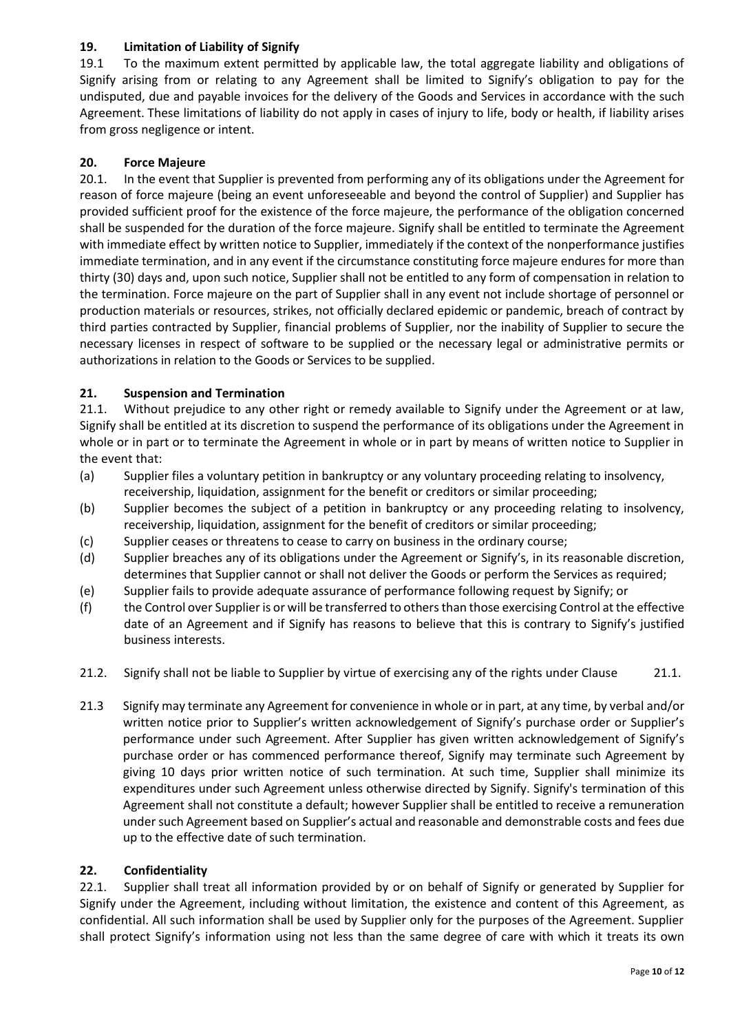# **19. Limitation of Liability of Signify**

19.1 To the maximum extent permitted by applicable law, the total aggregate liability and obligations of Signify arising from or relating to any Agreement shall be limited to Signify's obligation to pay for the undisputed, due and payable invoices for the delivery of the Goods and Services in accordance with the such Agreement. These limitations of liability do not apply in cases of injury to life, body or health, if liability arises from gross negligence or intent.

# **20. Force Majeure**

20.1. In the event that Supplier is prevented from performing any of its obligations under the Agreement for reason of force majeure (being an event unforeseeable and beyond the control of Supplier) and Supplier has provided sufficient proof for the existence of the force majeure, the performance of the obligation concerned shall be suspended for the duration of the force majeure. Signify shall be entitled to terminate the Agreement with immediate effect by written notice to Supplier, immediately if the context of the nonperformance justifies immediate termination, and in any event if the circumstance constituting force majeure endures for more than thirty (30) days and, upon such notice, Supplier shall not be entitled to any form of compensation in relation to the termination. Force majeure on the part of Supplier shall in any event not include shortage of personnel or production materials or resources, strikes, not officially declared epidemic or pandemic, breach of contract by third parties contracted by Supplier, financial problems of Supplier, nor the inability of Supplier to secure the necessary licenses in respect of software to be supplied or the necessary legal or administrative permits or authorizations in relation to the Goods or Services to be supplied.

# **21. Suspension and Termination**

21.1. Without prejudice to any other right or remedy available to Signify under the Agreement or at law, Signify shall be entitled at its discretion to suspend the performance of its obligations under the Agreement in whole or in part or to terminate the Agreement in whole or in part by means of written notice to Supplier in the event that:

- (a) Supplier files a voluntary petition in bankruptcy or any voluntary proceeding relating to insolvency, receivership, liquidation, assignment for the benefit or creditors or similar proceeding;
- (b) Supplier becomes the subject of a petition in bankruptcy or any proceeding relating to insolvency, receivership, liquidation, assignment for the benefit of creditors or similar proceeding;
- (c) Supplier ceases or threatens to cease to carry on business in the ordinary course;
- (d) Supplier breaches any of its obligations under the Agreement or Signify's, in its reasonable discretion, determines that Supplier cannot or shall not deliver the Goods or perform the Services as required;
- (e) Supplier fails to provide adequate assurance of performance following request by Signify; or
- (f) the Control over Supplier is or will be transferred to others than those exercising Control at the effective date of an Agreement and if Signify has reasons to believe that this is contrary to Signify's justified business interests.
- 21.2. Signify shall not be liable to Supplier by virtue of exercising any of the rights under Clause 21.1.
- 21.3 Signify may terminate any Agreement for convenience in whole or in part, at any time, by verbal and/or written notice prior to Supplier's written acknowledgement of Signify's purchase order or Supplier's performance under such Agreement. After Supplier has given written acknowledgement of Signify's purchase order or has commenced performance thereof, Signify may terminate such Agreement by giving 10 days prior written notice of such termination. At such time, Supplier shall minimize its expenditures under such Agreement unless otherwise directed by Signify. Signify's termination of this Agreement shall not constitute a default; however Supplier shall be entitled to receive a remuneration under such Agreement based on Supplier's actual and reasonable and demonstrable costs and fees due up to the effective date of such termination.

# **22. Confidentiality**

22.1. Supplier shall treat all information provided by or on behalf of Signify or generated by Supplier for Signify under the Agreement, including without limitation, the existence and content of this Agreement, as confidential. All such information shall be used by Supplier only for the purposes of the Agreement. Supplier shall protect Signify's information using not less than the same degree of care with which it treats its own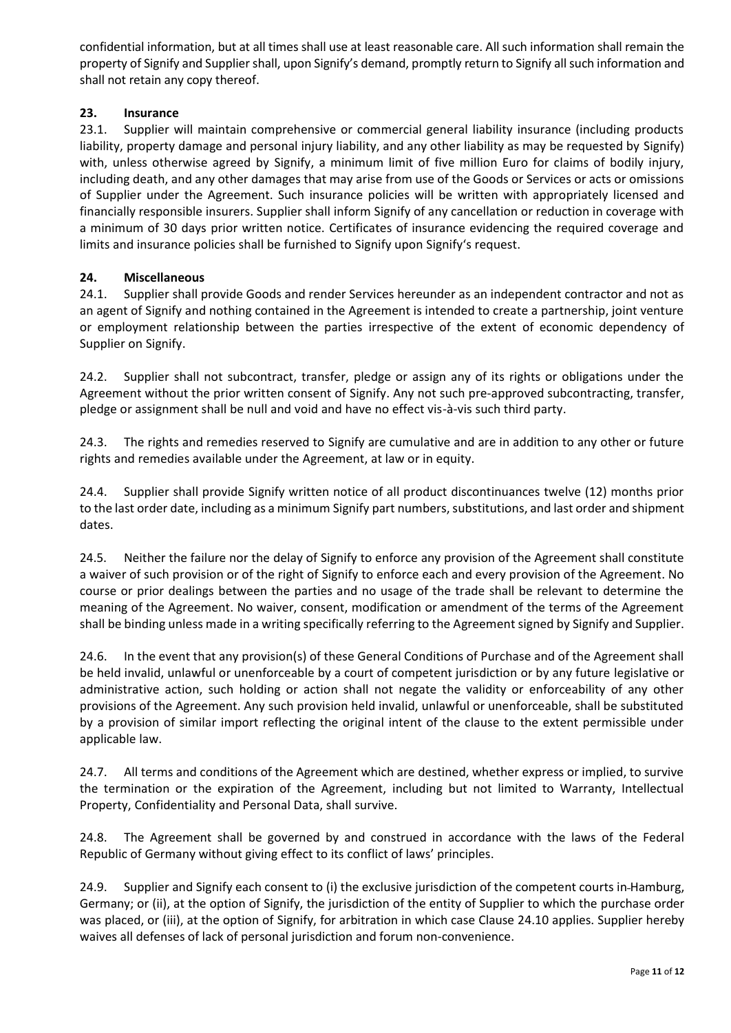confidential information, but at all times shall use at least reasonable care. All such information shall remain the property of Signify and Supplier shall, upon Signify's demand, promptly return to Signify all such information and shall not retain any copy thereof.

#### **23. Insurance**

23.1. Supplier will maintain comprehensive or commercial general liability insurance (including products liability, property damage and personal injury liability, and any other liability as may be requested by Signify) with, unless otherwise agreed by Signify, a minimum limit of five million Euro for claims of bodily injury, including death, and any other damages that may arise from use of the Goods or Services or acts or omissions of Supplier under the Agreement. Such insurance policies will be written with appropriately licensed and financially responsible insurers. Supplier shall inform Signify of any cancellation or reduction in coverage with a minimum of 30 days prior written notice. Certificates of insurance evidencing the required coverage and limits and insurance policies shall be furnished to Signify upon Signify's request.

#### **24. Miscellaneous**

24.1. Supplier shall provide Goods and render Services hereunder as an independent contractor and not as an agent of Signify and nothing contained in the Agreement is intended to create a partnership, joint venture or employment relationship between the parties irrespective of the extent of economic dependency of Supplier on Signify.

24.2. Supplier shall not subcontract, transfer, pledge or assign any of its rights or obligations under the Agreement without the prior written consent of Signify. Any not such pre-approved subcontracting, transfer, pledge or assignment shall be null and void and have no effect vis-à-vis such third party.

24.3. The rights and remedies reserved to Signify are cumulative and are in addition to any other or future rights and remedies available under the Agreement, at law or in equity.

24.4. Supplier shall provide Signify written notice of all product discontinuances twelve (12) months prior to the last order date, including as a minimum Signify part numbers, substitutions, and last order and shipment dates.

24.5. Neither the failure nor the delay of Signify to enforce any provision of the Agreement shall constitute a waiver of such provision or of the right of Signify to enforce each and every provision of the Agreement. No course or prior dealings between the parties and no usage of the trade shall be relevant to determine the meaning of the Agreement. No waiver, consent, modification or amendment of the terms of the Agreement shall be binding unless made in a writing specifically referring to the Agreement signed by Signify and Supplier.

24.6. In the event that any provision(s) of these General Conditions of Purchase and of the Agreement shall be held invalid, unlawful or unenforceable by a court of competent jurisdiction or by any future legislative or administrative action, such holding or action shall not negate the validity or enforceability of any other provisions of the Agreement. Any such provision held invalid, unlawful or unenforceable, shall be substituted by a provision of similar import reflecting the original intent of the clause to the extent permissible under applicable law.

24.7. All terms and conditions of the Agreement which are destined, whether express or implied, to survive the termination or the expiration of the Agreement, including but not limited to Warranty, Intellectual Property, Confidentiality and Personal Data, shall survive.

24.8. The Agreement shall be governed by and construed in accordance with the laws of the Federal Republic of Germany without giving effect to its conflict of laws' principles.

24.9. Supplier and Signify each consent to (i) the exclusive jurisdiction of the competent courts in Hamburg, Germany; or (ii), at the option of Signify, the jurisdiction of the entity of Supplier to which the purchase order was placed, or (iii), at the option of Signify, for arbitration in which case Clause 24.10 applies. Supplier hereby waives all defenses of lack of personal jurisdiction and forum non-convenience.